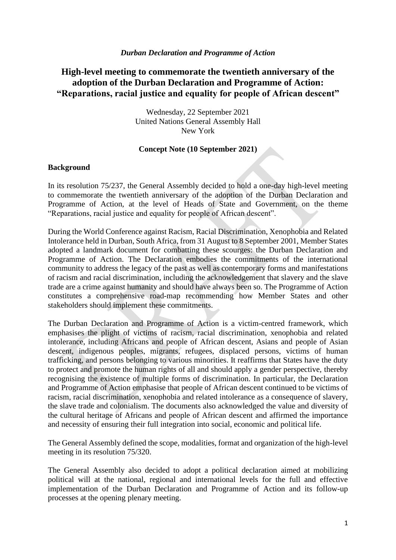#### *Durban Declaration and Programme of Action*

# **High-level meeting to commemorate the twentieth anniversary of the adoption of the Durban Declaration and Programme of Action: "Reparations, racial justice and equality for people of African descent"**

Wednesday, 22 September 2021 United Nations General Assembly Hall New York

#### **Concept Note (10 September 2021)**

#### **Background**

In its resolution 75/237, the General Assembly decided to hold a one-day high-level meeting to commemorate the twentieth anniversary of the adoption of the Durban Declaration and Programme of Action, at the level of Heads of State and Government, on the theme "Reparations, racial justice and equality for people of African descent".

During the World Conference against Racism, Racial Discrimination, Xenophobia and Related Intolerance held in Durban, South Africa, from 31 August to 8 September 2001, Member States adopted a landmark document for combatting these scourges: the Durban Declaration and Programme of Action. The Declaration embodies the commitments of the international community to address the legacy of the past as well as contemporary forms and manifestations of racism and racial discrimination, including the acknowledgement that slavery and the slave trade are a crime against humanity and should have always been so. The Programme of Action constitutes a comprehensive road-map recommending how Member States and other stakeholders should implement these commitments.

The Durban Declaration and Programme of Action is a victim-centred framework, which emphasises the plight of victims of racism, racial discrimination, xenophobia and related intolerance, including Africans and people of African descent, Asians and people of Asian descent, indigenous peoples, migrants, refugees, displaced persons, victims of human trafficking, and persons belonging to various minorities. It reaffirms that States have the duty to protect and promote the human rights of all and should apply a gender perspective, thereby recognising the existence of multiple forms of discrimination. In particular, the Declaration and Programme of Action emphasise that people of African descent continued to be victims of racism, racial discrimination, xenophobia and related intolerance as a consequence of slavery, the slave trade and colonialism. The documents also acknowledged the value and diversity of the cultural heritage of Africans and people of African descent and affirmed the importance and necessity of ensuring their full integration into social, economic and political life.

The General Assembly defined the scope, modalities, format and organization of the high-level meeting in its resolution 75/320.

The General Assembly also decided to adopt a political declaration aimed at mobilizing political will at the national, regional and international levels for the full and effective implementation of the Durban Declaration and Programme of Action and its follow-up processes at the opening plenary meeting.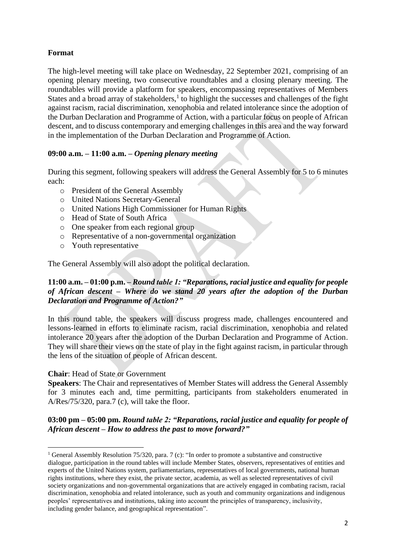## **Format**

The high-level meeting will take place on Wednesday, 22 September 2021, comprising of an opening plenary meeting, two consecutive roundtables and a closing plenary meeting. The roundtables will provide a platform for speakers, encompassing representatives of Members States and a broad array of stakeholders, $<sup>1</sup>$  to highlight the successes and challenges of the fight</sup> against racism, racial discrimination, xenophobia and related intolerance since the adoption of the Durban Declaration and Programme of Action, with a particular focus on people of African descent, and to discuss contemporary and emerging challenges in this area and the way forward in the implementation of the Durban Declaration and Programme of Action.

## **09:00 a.m. – 11:00 a.m. –** *Opening plenary meeting*

During this segment, following speakers will address the General Assembly for 5 to 6 minutes each:

- o President of the General Assembly
- o United Nations Secretary-General
- o United Nations High Commissioner for Human Rights
- o Head of State of South Africa
- o One speaker from each regional group
- o Representative of a non-governmental organization
- o Youth representative

The General Assembly will also adopt the political declaration.

## **11:00 a.m. – 01:00 p.m.** *– Round table 1: "Reparations, racial justice and equality for people of African descent – Where do we stand 20 years after the adoption of the Durban Declaration and Programme of Action?"*

In this round table, the speakers will discuss progress made, challenges encountered and lessons-learned in efforts to eliminate racism, racial discrimination, xenophobia and related intolerance 20 years after the adoption of the Durban Declaration and Programme of Action. They will share their views on the state of play in the fight against racism, in particular through the lens of the situation of people of African descent.

#### **Chair**: Head of State or Government

**Speakers**: The Chair and representatives of Member States will address the General Assembly for 3 minutes each and, time permitting, participants from stakeholders enumerated in A/Res/75/320, para.7 (c), will take the floor.

**03:00 pm – 05:00 pm.** *Round table 2: "Reparations, racial justice and equality for people of African descent – How to address the past to move forward?"*

<sup>&</sup>lt;sup>1</sup> General Assembly Resolution 75/320, para. 7 (c): "In order to promote a substantive and constructive dialogue, participation in the round tables will include Member States, observers, representatives of entities and experts of the United Nations system, parliamentarians, representatives of local governments, national human rights institutions, where they exist, the private sector, academia, as well as selected representatives of civil society organizations and non-governmental organizations that are actively engaged in combating racism, racial discrimination, xenophobia and related intolerance, such as youth and community organizations and indigenous peoples' representatives and institutions, taking into account the principles of transparency, inclusivity, including gender balance, and geographical representation".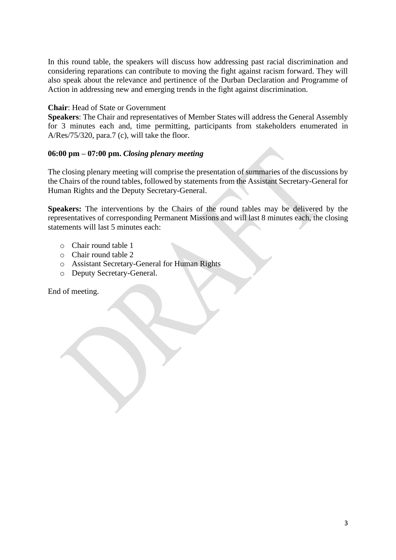In this round table, the speakers will discuss how addressing past racial discrimination and considering reparations can contribute to moving the fight against racism forward. They will also speak about the relevance and pertinence of the Durban Declaration and Programme of Action in addressing new and emerging trends in the fight against discrimination.

### **Chair**: Head of State or Government

**Speakers**: The Chair and representatives of Member States will address the General Assembly for 3 minutes each and, time permitting, participants from stakeholders enumerated in A/Res/75/320, para.7 (c), will take the floor.

### **06:00 pm – 07:00 pm.** *Closing plenary meeting*

The closing plenary meeting will comprise the presentation of summaries of the discussions by the Chairs of the round tables, followed by statements from the Assistant Secretary-General for Human Rights and the Deputy Secretary-General.

**Speakers:** The interventions by the Chairs of the round tables may be delivered by the representatives of corresponding Permanent Missions and will last 8 minutes each, the closing statements will last 5 minutes each:

- o Chair round table 1
- o Chair round table 2
- o Assistant Secretary-General for Human Rights
- o Deputy Secretary-General.

End of meeting.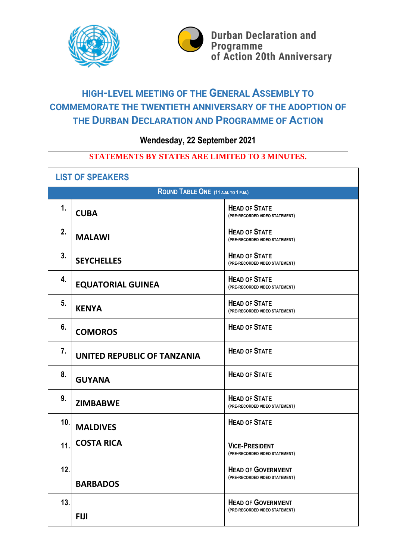



# **HIGH-LEVEL MEETING OF THE GENERAL ASSEMBLY TO COMMEMORATE THE TWENTIETH ANNIVERSARY OF THE ADOPTION OF THE DURBAN DECLARATION AND PROGRAMME OF ACTION**

**Wendesday, 22 September 2021**

# **STATEMENTS BY STATES ARE LIMITED TO 3 MINUTES.**

| <b>LIST OF SPEAKERS</b>             |                             |                                                             |  |  |
|-------------------------------------|-----------------------------|-------------------------------------------------------------|--|--|
| ROUND TABLE ONE (11 A.M. TO 1 P.M.) |                             |                                                             |  |  |
| $\mathbf 1$ .                       | <b>CUBA</b>                 | <b>HEAD OF STATE</b><br>(PRE-RECORDED VIDEO STATEMENT)      |  |  |
| 2.                                  | <b>MALAWI</b>               | <b>HEAD OF STATE</b><br>(PRE-RECORDED VIDEO STATEMENT)      |  |  |
| 3.                                  | <b>SEYCHELLES</b>           | <b>HEAD OF STATE</b><br>(PRE-RECORDED VIDEO STATEMENT)      |  |  |
| 4.                                  | <b>EQUATORIAL GUINEA</b>    | <b>HEAD OF STATE</b><br>(PRE-RECORDED VIDEO STATEMENT)      |  |  |
| 5.                                  | <b>KENYA</b>                | <b>HEAD OF STATE</b><br>(PRE-RECORDED VIDEO STATEMENT)      |  |  |
| 6.                                  | <b>COMOROS</b>              | <b>HEAD OF STATE</b>                                        |  |  |
| 7.                                  | UNITED REPUBLIC OF TANZANIA | <b>HEAD OF STATE</b>                                        |  |  |
| 8.                                  | <b>GUYANA</b>               | <b>HEAD OF STATE</b>                                        |  |  |
| 9.                                  | <b>ZIMBABWE</b>             | <b>HEAD OF STATE</b><br>(PRE-RECORDED VIDEO STATEMENT)      |  |  |
| 10.                                 | <b>MALDIVES</b>             | <b>HEAD OF STATE</b>                                        |  |  |
| 11.                                 | <b>COSTA RICA</b>           | <b>VICE-PRESIDENT</b><br>(PRE-RECORDED VIDEO STATEMENT)     |  |  |
| 12.                                 | <b>BARBADOS</b>             | <b>HEAD OF GOVERNMENT</b><br>(PRE-RECORDED VIDEO STATEMENT) |  |  |
| 13.                                 | <b>FIJI</b>                 | <b>HEAD OF GOVERNMENT</b><br>(PRE-RECORDED VIDEO STATEMENT) |  |  |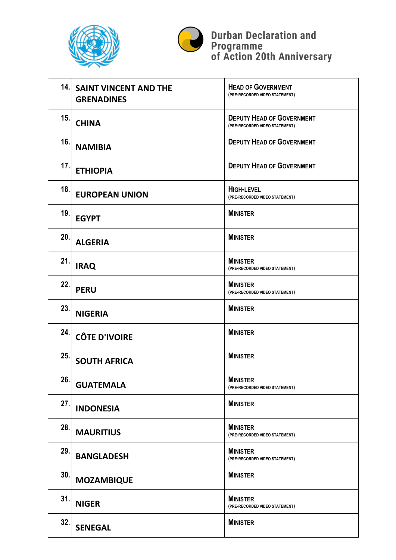



**Durban Declaration and<br>Programme<br>of Action 20th Anniversary** 

|     | <b>14. SAINT VINCENT AND THE</b><br><b>GRENADINES</b> | <b>HEAD OF GOVERNMENT</b><br>(PRE-RECORDED VIDEO STATEMENT)        |
|-----|-------------------------------------------------------|--------------------------------------------------------------------|
| 15. | <b>CHINA</b>                                          | <b>DEPUTY HEAD OF GOVERNMENT</b><br>(PRE-RECORDED VIDEO STATEMENT) |
| 16. | <b>NAMIBIA</b>                                        | <b>DEPUTY HEAD OF GOVERNMENT</b>                                   |
| 17. | <b>ETHIOPIA</b>                                       | <b>DEPUTY HEAD OF GOVERNMENT</b>                                   |
| 18. | <b>EUROPEAN UNION</b>                                 | <b>HIGH-LEVEL</b><br>(PRE-RECORDED VIDEO STATEMENT)                |
| 19. | <b>EGYPT</b>                                          | <b>MINISTER</b>                                                    |
| 20. | <b>ALGERIA</b>                                        | <b>MINISTER</b>                                                    |
| 21. | <b>IRAQ</b>                                           | <b>MINISTER</b><br>(PRE-RECORDED VIDEO STATEMENT)                  |
| 22. | <b>PERU</b>                                           | <b>MINISTER</b><br>(PRE-RECORDED VIDEO STATEMENT)                  |
| 23. | <b>NIGERIA</b>                                        | <b>MINISTER</b>                                                    |
| 24. | <b>CÔTE D'IVOIRE</b>                                  | <b>MINISTER</b>                                                    |
| 25. | <b>SOUTH AFRICA</b>                                   | <b>MINISTER</b>                                                    |
| 26. | <b>GUATEMALA</b>                                      | <b>MINISTER</b><br>(PRE-RECORDED VIDEO STATEMENT)                  |
| 27. | <b>INDONESIA</b>                                      | <b>MINISTER</b>                                                    |
| 28. | <b>MAURITIUS</b>                                      | <b>MINISTER</b><br>(PRE-RECORDED VIDEO STATEMENT)                  |
| 29. | <b>BANGLADESH</b>                                     | <b>MINISTER</b><br>(PRE-RECORDED VIDEO STATEMENT)                  |
| 30. | <b>MOZAMBIQUE</b>                                     | <b>MINISTER</b>                                                    |
| 31. | <b>NIGER</b>                                          | <b>MINISTER</b><br>(PRE-RECORDED VIDEO STATEMENT)                  |
| 32. | <b>SENEGAL</b>                                        | <b>MINISTER</b>                                                    |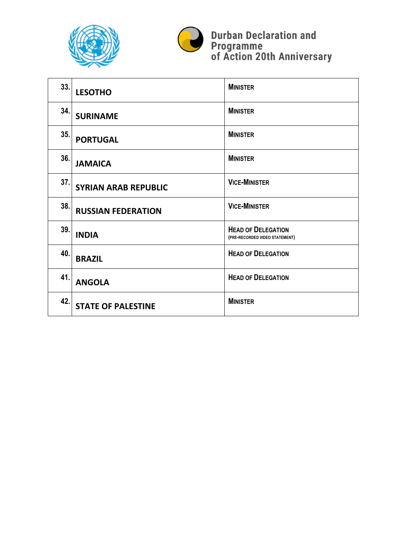



**Durban Declaration and<br>Programme<br>of Action 20th Anniversary** 

| 33. | <b>LESOTHO</b>              | <b>MINISTER</b>                                             |
|-----|-----------------------------|-------------------------------------------------------------|
| 34. | <b>SURINAME</b>             | <b>MINISTER</b>                                             |
| 35. | <b>PORTUGAL</b>             | <b>MINISTER</b>                                             |
| 36. | <b>JAMAICA</b>              | <b>MINISTER</b>                                             |
| 37. | <b>SYRIAN ARAB REPUBLIC</b> | <b>VICE-MINISTER</b>                                        |
| 38. | <b>RUSSIAN FEDERATION</b>   | <b>VICE-MINISTER</b>                                        |
| 39. | <b>INDIA</b>                | <b>HEAD OF DELEGATION</b><br>(PRE-RECORDED VIDEO STATEMENT) |
| 40. | <b>BRAZIL</b>               | <b>HEAD OF DELEGATION</b>                                   |
| 41. | <b>ANGOLA</b>               | <b>HEAD OF DELEGATION</b>                                   |
| 42. | <b>STATE OF PALESTINE</b>   | <b>MINISTER</b>                                             |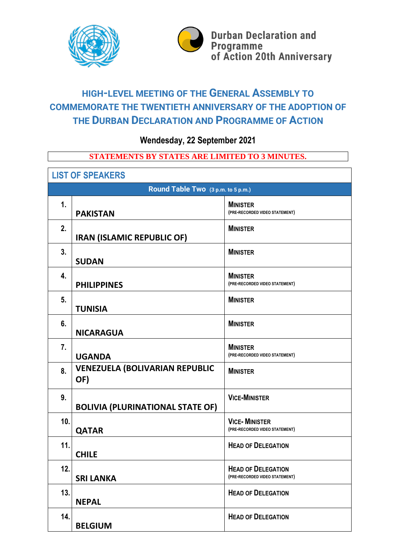



# **HIGH-LEVEL MEETING OF THE GENERAL ASSEMBLY TO COMMEMORATE THE TWENTIETH ANNIVERSARY OF THE ADOPTION OF THE DURBAN DECLARATION AND PROGRAMME OF ACTION**

**Wendesday, 22 September 2021**

# **STATEMENTS BY STATES ARE LIMITED TO 3 MINUTES.**

| <b>LIST OF SPEAKERS</b>            |                                              |                                                             |  |  |
|------------------------------------|----------------------------------------------|-------------------------------------------------------------|--|--|
| Round Table Two (3 p.m. to 5 p.m.) |                                              |                                                             |  |  |
| $\mathbf{1}$ .                     | <b>PAKISTAN</b>                              | <b>MINISTER</b><br>(PRE-RECORDED VIDEO STATEMENT)           |  |  |
| 2.                                 | <b>IRAN (ISLAMIC REPUBLIC OF)</b>            | <b>MINISTER</b>                                             |  |  |
| 3.                                 | <b>SUDAN</b>                                 | <b>MINISTER</b>                                             |  |  |
| 4.                                 | <b>PHILIPPINES</b>                           | <b>MINISTER</b><br>(PRE-RECORDED VIDEO STATEMENT)           |  |  |
| 5.                                 | <b>TUNISIA</b>                               | <b>MINISTER</b>                                             |  |  |
| 6.                                 | <b>NICARAGUA</b>                             | <b>MINISTER</b>                                             |  |  |
| 7.                                 | <b>UGANDA</b>                                | <b>MINISTER</b><br>(PRE-RECORDED VIDEO STATEMENT)           |  |  |
| 8.                                 | <b>VENEZUELA (BOLIVARIAN REPUBLIC</b><br>OF) | <b>MINISTER</b>                                             |  |  |
| 9.                                 | <b>BOLIVIA (PLURINATIONAL STATE OF)</b>      | <b>VICE-MINISTER</b>                                        |  |  |
| 10.                                | <b>QATAR</b>                                 | <b>VICE-MINISTER</b><br>(PRE-RECORDED VIDEO STATEMENT)      |  |  |
| 11.                                | <b>CHILE</b>                                 | <b>HEAD OF DELEGATION</b>                                   |  |  |
| 12.                                | <b>SRI LANKA</b>                             | <b>HEAD OF DELEGATION</b><br>(PRE-RECORDED VIDEO STATEMENT) |  |  |
| 13.                                | <b>NEPAL</b>                                 | <b>HEAD OF DELEGATION</b>                                   |  |  |
| 14.                                | <b>BELGIUM</b>                               | <b>HEAD OF DELEGATION</b>                                   |  |  |